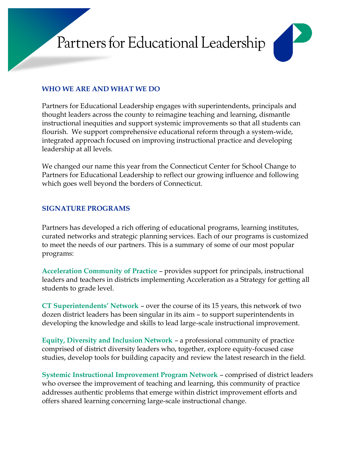# Partners for Educational Leadership



## **WHO WE ARE AND WHAT WE DO**

Partners for Educational Leadership engages with superintendents, principals and thought leaders across the county to reimagine teaching and learning, dismantle instructional inequities and support systemic improvements so that all students can flourish. We support comprehensive educational reform through a system-wide, integrated approach focused on improving instructional practice and developing leadership at all levels.

We changed our name this year from the Connecticut Center for School Change to Partners for Educational Leadership to reflect our growing influence and following which goes well beyond the borders of Connecticut.

## **SIGNATURE PROGRAMS**

Partners has developed a rich offering of educational programs, learning institutes, curated networks and strategic planning services. Each of our programs is customized to meet the needs of our partners. This is a summary of some of our most popular programs:

**Acceleration Community of Practice** – provides support for principals, instructional leaders and teachers in districts implementing Acceleration as a Strategy for getting all students to grade level.

**CT Superintendents' Network** – over the course of its 15 years, this network of two dozen district leaders has been singular in its aim – to support superintendents in developing the knowledge and skills to lead large-scale instructional improvement.

**Equity, Diversity and Inclusion Network** – a professional community of practice comprised of district diversity leaders who, together, explore equity-focused case studies, develop tools for building capacity and review the latest research in the field.

**Systemic Instructional Improvement Program Network** – comprised of district leaders who oversee the improvement of teaching and learning, this community of practice addresses authentic problems that emerge within district improvement efforts and offers shared learning concerning large-scale instructional change.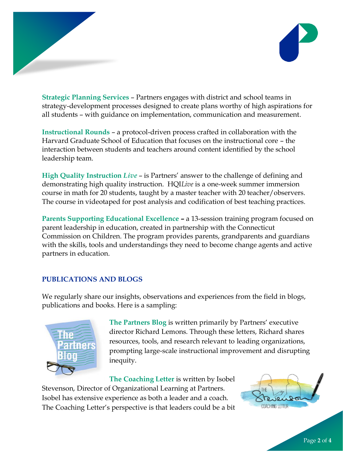

**Strategic Planning Services** – Partners engages with district and school teams in strategy-development processes designed to create plans worthy of high aspirations for all students – with guidance on implementation, communication and measurement.

**Instructional Rounds** – a protocol-driven process crafted in collaboration with the Harvard Graduate School of Education that focuses on the instructional core – the interaction between students and teachers around content identified by the school leadership team.

**High Quality Instruction** *Live* – is Partners' answer to the challenge of defining and demonstrating high quality instruction. HQI*Live* is a one-week summer immersion course in math for 20 students, taught by a master teacher with 20 teacher/observers. The course in videotaped for post analysis and codification of best teaching practices.

**Parents Supporting Educational Excellence – a 13-session training program focused on** parent leadership in education, created in partnership with the Connecticut Commission on Children. The program provides parents, grandparents and guardians with the skills, tools and understandings they need to become change agents and active partners in education.

## **PUBLICATIONS AND BLOGS**

We regularly share our insights, observations and experiences from the field in blogs, publications and books. Here is a sampling:



**The Partners Blog** is written primarily by Partners' executive director Richard Lemons. Through these letters, Richard shares resources, tools, and research relevant to leading organizations, prompting large-scale instructional improvement and disrupting inequity.

**The Coaching Letter** is written by Isobel Stevenson, Director of Organizational Learning at Partners. Isobel has extensive experience as both a leader and a coach. The Coaching Letter's perspective is that leaders could be a bit

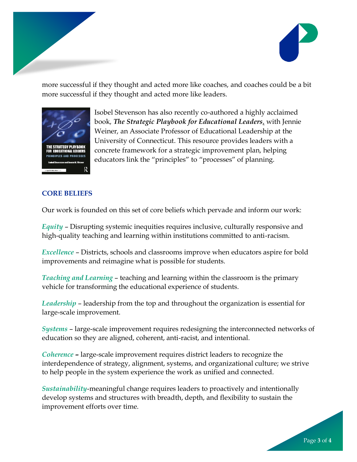

more successful if they thought and acted more like coaches, and coaches could be a bit more successful if they thought and acted more like leaders.



Isobel Stevenson has also recently co-authored a highly acclaimed book, *The Strategic Playbook for Educational Leaders*, with Jennie Weiner, an Associate Professor of Educational Leadership at the University of Connecticut. This resource provides leaders with a concrete framework for a strategic improvement plan, helping educators link the "principles" to "processes" of planning.

### **CORE BELIEFS**

Our work is founded on this set of core beliefs which pervade and inform our work:

*Equity* – Disrupting systemic inequities requires inclusive, culturally responsive and high-quality teaching and learning within institutions committed to anti-racism.

*Excellence* – Districts, schools and classrooms improve when educators aspire for bold improvements and reimagine what is possible for students.

*Teaching and Learning* – teaching and learning within the classroom is the primary vehicle for transforming the educational experience of students.

*Leadership* – leadership from the top and throughout the organization is essential for large-scale improvement.

*Systems* – large-scale improvement requires redesigning the interconnected networks of education so they are aligned, coherent, anti-racist, and intentional.

*Coherence* **–** large-scale improvement requires district leaders to recognize the interdependence of strategy, alignment, systems, and organizational culture; we strive to help people in the system experience the work as unified and connected.

*Sustainability*-meaningful change requires leaders to proactively and intentionally develop systems and structures with breadth, depth, and flexibility to sustain the improvement efforts over time.